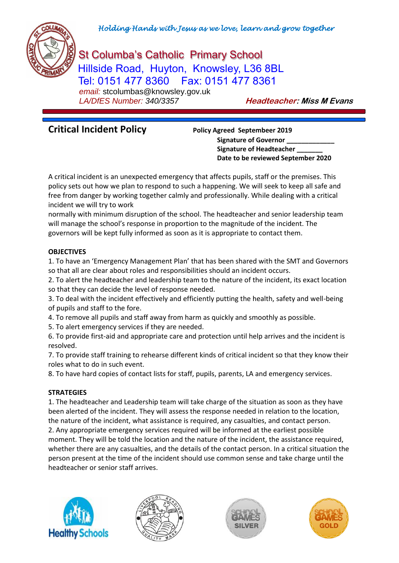

# St Columba's Catholic Primary School Hillside Road, Huyton, Knowsley, L36 8BL Tel: 0151 477 8360 Fax: 0151 477 8361  *email:* stcolumbas@knowsley.gov.uk

 *LA/DfES Number: 340/3357* **Headteacher: Miss M Evans**

# **Critical Incident Policy Policy Agreed Septembeer <sup>2019</sup>**

**Signature of Governor \_\_\_\_\_\_\_\_\_\_\_\_\_ Signature of Headteacher \_\_\_\_\_\_\_ Date to be reviewed September 2020**

A critical incident is an unexpected emergency that affects pupils, staff or the premises. This policy sets out how we plan to respond to such a happening. We will seek to keep all safe and free from danger by working together calmly and professionally. While dealing with a critical incident we will try to work

normally with minimum disruption of the school. The headteacher and senior leadership team will manage the school's response in proportion to the magnitude of the incident. The governors will be kept fully informed as soon as it is appropriate to contact them.

### **OBJECTIVES**

1. To have an 'Emergency Management Plan' that has been shared with the SMT and Governors so that all are clear about roles and responsibilities should an incident occurs.

2. To alert the headteacher and leadership team to the nature of the incident, its exact location so that they can decide the level of response needed.

3. To deal with the incident effectively and efficiently putting the health, safety and well-being of pupils and staff to the fore.

4. To remove all pupils and staff away from harm as quickly and smoothly as possible.

5. To alert emergency services if they are needed.

6. To provide first-aid and appropriate care and protection until help arrives and the incident is resolved.

7. To provide staff training to rehearse different kinds of critical incident so that they know their roles what to do in such event.

8. To have hard copies of contact lists for staff, pupils, parents, LA and emergency services.

### **STRATEGIES**

1. The headteacher and Leadership team will take charge of the situation as soon as they have been alerted of the incident. They will assess the response needed in relation to the location, the nature of the incident, what assistance is required, any casualties, and contact person. 2. Any appropriate emergency services required will be informed at the earliest possible moment. They will be told the location and the nature of the incident, the assistance required, whether there are any casualties, and the details of the contact person. In a critical situation the person present at the time of the incident should use common sense and take charge until the headteacher or senior staff arrives.